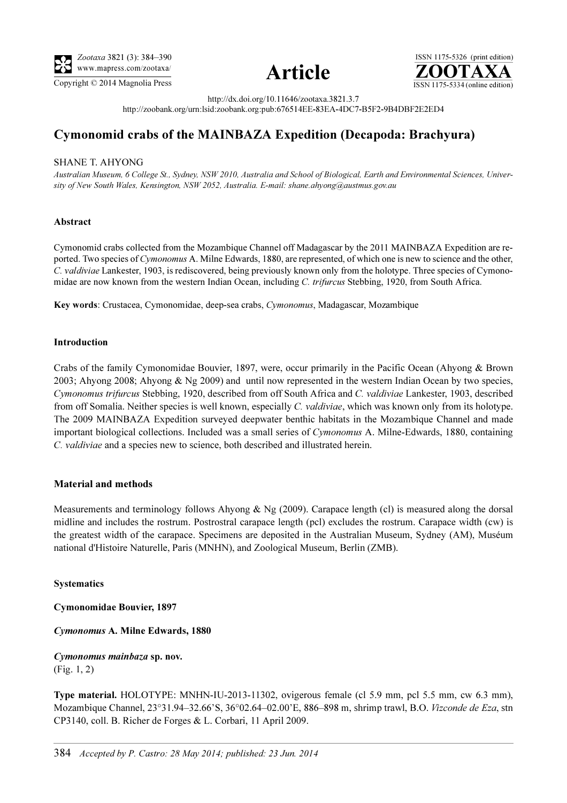

Copyright © 2014 Magnolia Press ISSN 1175-5334 (online edition)



ISSN 1175-5326 (print edition)<br> $\overline{{\bf ZOOTAXA}}$ 

http://dx.doi.org/10.11646/zootaxa.3821.3.7 http://zoobank.org/urn:lsid:zoobank.org:pub:676514EE-83EA-4DC7-B5F2-9B4DBF2E2ED4

# Cymonomid crabs of the MAINBAZA Expedition (Decapoda: Brachyura)

## SHANE T. AHYONG

Australian Museum, 6 College St., Sydney, NSW 2010, Australia and School of Biological, Earth and Environmental Sciences, University of New South Wales, Kensington, NSW 2052, Australia. E-mail: shane.ahyong@austmus.gov.au

## Abstract

Cymonomid crabs collected from the Mozambique Channel off Madagascar by the 2011 MAINBAZA Expedition are reported. Two species of Cymonomus A. Milne Edwards, 1880, are represented, of which one is new to science and the other, C. valdiviae Lankester, 1903, is rediscovered, being previously known only from the holotype. Three species of Cymonomidae are now known from the western Indian Ocean, including C. trifurcus Stebbing, 1920, from South Africa.

Key words: Crustacea, Cymonomidae, deep-sea crabs, Cymonomus, Madagascar, Mozambique

## Introduction

Crabs of the family Cymonomidae Bouvier, 1897, were, occur primarily in the Pacific Ocean (Ahyong & Brown 2003; Ahyong 2008; Ahyong & Ng 2009) and until now represented in the western Indian Ocean by two species, Cymonomus trifurcus Stebbing, 1920, described from off South Africa and C. valdiviae Lankester, 1903, described from off Somalia. Neither species is well known, especially C. valdiviae, which was known only from its holotype. The 2009 MAINBAZA Expedition surveyed deepwater benthic habitats in the Mozambique Channel and made important biological collections. Included was a small series of Cymonomus A. Milne-Edwards, 1880, containing C. valdiviae and a species new to science, both described and illustrated herein.

## Material and methods

Measurements and terminology follows Ahyong  $\&$  Ng (2009). Carapace length (cl) is measured along the dorsal midline and includes the rostrum. Postrostral carapace length (pcl) excludes the rostrum. Carapace width (cw) is the greatest width of the carapace. Specimens are deposited in the Australian Museum, Sydney (AM), Muséum national d'Histoire Naturelle, Paris (MNHN), and Zoological Museum, Berlin (ZMB).

## Systematics

Cymonomidae Bouvier, 1897

Cymonomus A. Milne Edwards, 1880

Cymonomus mainbaza sp. nov. (Fig. 1, 2)

Type material. HOLOTYPE: MNHN-IU-2013-11302, ovigerous female (cl 5.9 mm, pcl 5.5 mm, cw 6.3 mm), Mozambique Channel, 23°31.94–32.66'S, 36°02.64–02.00'E, 886–898 m, shrimp trawl, B.O. Vizconde de Eza, stn CP3140, coll. B. Richer de Forges & L. Corbari, 11 April 2009.